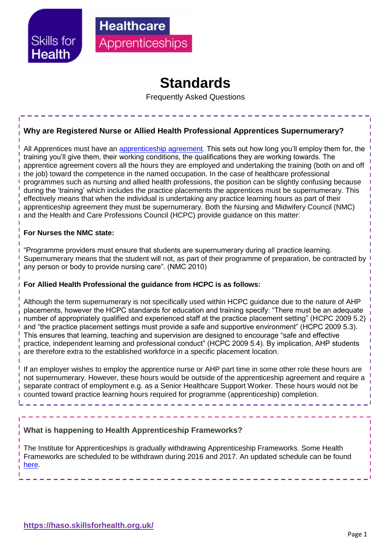

## **Standards**

Frequently Asked Questions

## **Why are Registered Nurse or Allied Health Professional Apprentices Supernumerary?**

All Apprentices must have an [apprenticeship agreement.](https://www.gov.uk/take-on-an-apprentice/apprenticeship-agreement) This sets out how long you'll employ them for, the training you'll give them, their working conditions, the qualifications they are working towards. The apprentice agreement covers all the hours they are employed and undertaking the training (both on and off the job) toward the competence in the named occupation. In the case of healthcare professional programmes such as nursing and allied health professions, the position can be slightly confusing because during the 'training' which includes the practice placements the apprentices must be supernumerary. This effectively means that when the individual is undertaking any practice learning hours as part of their apprenticeship agreement they must be supernumerary. Both the Nursing and Midwifery Council (NMC) and the Health and Care Professions Council (HCPC) provide guidance on this matter:

#### **For Nurses the NMC state:**

"Programme providers must ensure that students are supernumerary during all practice learning. Supernumerary means that the student will not, as part of their programme of preparation, be contracted by any person or body to provide nursing care". (NMC 2010)

#### **For Allied Health Professional the guidance from HCPC is as follows:**

Although the term supernumerary is not specifically used within HCPC guidance due to the nature of AHP placements, however the HCPC standards for education and training specify: "There must be an adequate number of appropriately qualified and experienced staff at the practice placement setting" (HCPC 2009 5.2) and "the practice placement settings must provide a safe and supportive environment" (HCPC 2009 5.3). This ensures that learning, teaching and supervision are designed to encourage "safe and effective practice, independent learning and professional conduct" (HCPC 2009 5.4). By implication, AHP students are therefore extra to the established workforce in a specific placement location.

If an employer wishes to employ the apprentice nurse or AHP part time in some other role these hours are not supernumerary. However, these hours would be outside of the apprenticeship agreement and require a separate contract of employment e.g. as a Senior Healthcare Support Worker. These hours would not be counted toward practice learning hours required for programme (apprenticeship) completion.

#### **What is happening to Health Apprenticeship Frameworks?**

The Institute for Apprenticeships is gradually withdrawing Apprenticeship Frameworks. Some Health Frameworks are scheduled to be withdrawn during 2016 and 2017. An updated schedule can be found [here.](http://haso.skillsforhealth.org.uk/frameworks/)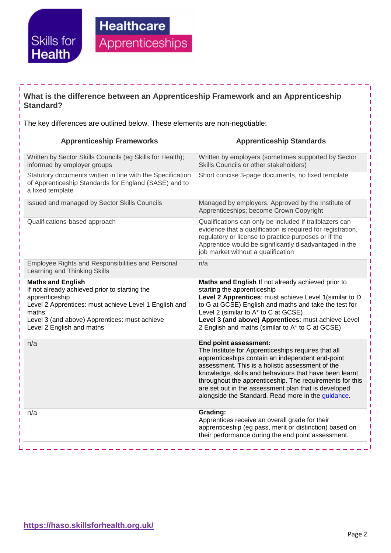

# **Healthcare** Apprenticeships

## **What is the difference between an Apprenticeship Framework and an Apprenticeship Standard?**

The key differences are outlined below. These elements are non-negotiable:

| <b>Apprenticeship Frameworks</b>                                                                                                                                                                                                            | <b>Apprenticeship Standards</b>                                                                                                                                                                                                                                                                                                                                                                                          |
|---------------------------------------------------------------------------------------------------------------------------------------------------------------------------------------------------------------------------------------------|--------------------------------------------------------------------------------------------------------------------------------------------------------------------------------------------------------------------------------------------------------------------------------------------------------------------------------------------------------------------------------------------------------------------------|
| Written by Sector Skills Councils (eg Skills for Health);<br>informed by employer groups                                                                                                                                                    | Written by employers (sometimes supported by Sector<br>Skills Councils or other stakeholders)                                                                                                                                                                                                                                                                                                                            |
| Statutory documents written in line with the Specification<br>of Apprenticeship Standards for England (SASE) and to<br>a fixed template                                                                                                     | Short concise 3-page documents, no fixed template                                                                                                                                                                                                                                                                                                                                                                        |
| Issued and managed by Sector Skills Councils                                                                                                                                                                                                | Managed by employers. Approved by the Institute of<br>Apprenticeships; become Crown Copyright                                                                                                                                                                                                                                                                                                                            |
| Qualifications-based approach                                                                                                                                                                                                               | Qualifications can only be included if trailblazers can<br>evidence that a qualification is required for registration,<br>regulatory or license to practice purposes or if the<br>Apprentice would be significantly disadvantaged in the<br>job market without a qualification                                                                                                                                           |
| Employee Rights and Responsibilities and Personal<br>Learning and Thinking Skills                                                                                                                                                           | n/a                                                                                                                                                                                                                                                                                                                                                                                                                      |
| <b>Maths and English</b><br>If not already achieved prior to starting the<br>apprenticeship<br>Level 2 Apprentices: must achieve Level 1 English and<br>maths<br>Level 3 (and above) Apprentices: must achieve<br>Level 2 English and maths | Maths and English If not already achieved prior to<br>starting the apprenticeship<br>Level 2 Apprentices: must achieve Level 1(similar to D<br>to G at GCSE) English and maths and take the test for<br>Level 2 (similar to A* to C at GCSE)<br>Level 3 (and above) Apprentices: must achieve Level<br>2 English and maths (similar to A* to C at GCSE)                                                                  |
| n/a                                                                                                                                                                                                                                         | End point assessment:<br>The Institute for Apprenticeships requires that all<br>apprenticeships contain an independent end-point<br>assessment. This is a holistic assessment of the<br>knowledge, skills and behaviours that have been learnt<br>throughout the apprenticeship. The requirements for this<br>are set out in the assessment plan that is developed<br>alongside the Standard. Read more in the guidance. |
| n/a                                                                                                                                                                                                                                         | Grading:<br>Apprentices receive an overall grade for their<br>apprenticeship (eg pass, merit or distinction) based on<br>their performance during the end point assessment.                                                                                                                                                                                                                                              |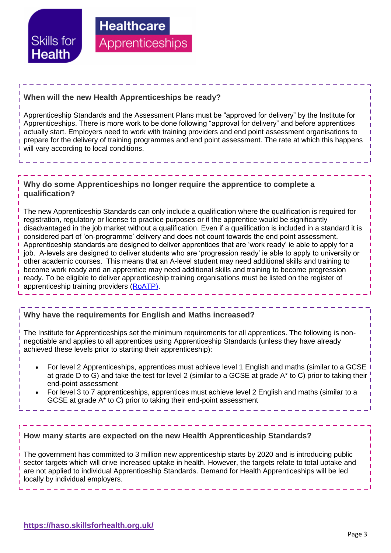

### **When will the new Health Apprenticeships be ready?**

**Healthcare** 

Apprenticeships

Apprenticeship Standards and the Assessment Plans must be "approved for delivery" by the Institute for Apprenticeships. There is more work to be done following "approval for delivery" and before apprentices actually start. Employers need to work with training providers and end point assessment organisations to prepare for the delivery of training programmes and end point assessment. The rate at which this happens will vary according to local conditions.

#### **Why do some Apprenticeships no longer require the apprentice to complete a qualification?**

The new Apprenticeship Standards can only include a qualification where the qualification is required for registration, regulatory or license to practice purposes or if the apprentice would be significantly disadvantaged in the job market without a qualification. Even if a qualification is included in a standard it is considered part of 'on-programme' delivery and does not count towards the end point assessment. Apprenticeship standards are designed to deliver apprentices that are 'work ready' ie able to apply for a job. A-levels are designed to deliver students who are 'progression ready' ie able to apply to university or other academic courses. This means that an A-level student may need additional skills and training to become work ready and an apprentice may need additional skills and training to become progression ready. To be eligible to deliver apprenticeship training organisations must be listed on the register of apprenticeship training providers [\(RoATP\).](https://www.gov.uk/guidance/register-of-apprenticeship-training-providers)

#### **Why have the requirements for English and Maths increased?**

The Institute for Apprenticeships set the minimum requirements for all apprentices. The following is nonnegotiable and applies to all apprentices using Apprenticeship Standards (unless they have already achieved these levels prior to starting their apprenticeship):

- For level 2 Apprenticeships, apprentices must achieve level 1 English and maths (similar to a GCSE at grade D to G) and take the test for level 2 (similar to a GCSE at grade A\* to C) prior to taking their end-point assessment
- For level 3 to 7 apprenticeships, apprentices must achieve level 2 English and maths (similar to a GCSE at grade A\* to C) prior to taking their end-point assessment

#### **How many starts are expected on the new Health Apprenticeship Standards?**

The government has committed to 3 million new apprenticeship starts by 2020 and is introducing public sector targets which will drive increased uptake in health. However, the targets relate to total uptake and are not applied to individual Apprenticeship Standards. Demand for Health Apprenticeships will be led locally by individual employers.